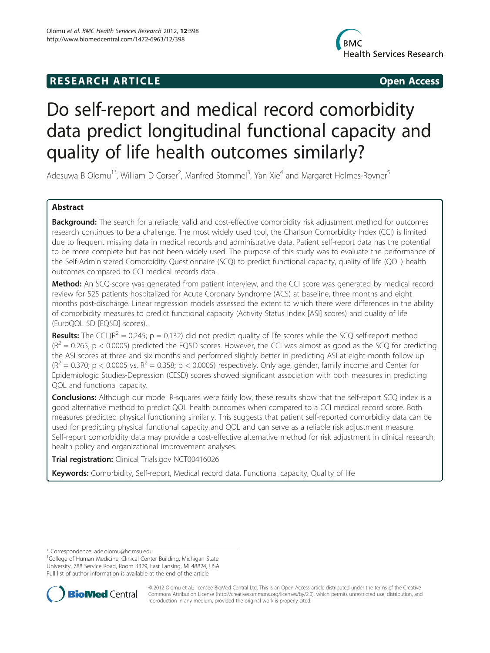## **RESEARCH ARTICLE Example 2018 12:00 Open Access**



# Do self-report and medical record comorbidity data predict longitudinal functional capacity and quality of life health outcomes similarly?

Adesuwa B Olomu<sup>1\*</sup>, William D Corser<sup>2</sup>, Manfred Stommel<sup>3</sup>, Yan Xie<sup>4</sup> and Margaret Holmes-Rovner<sup>5</sup>

## Abstract

Background: The search for a reliable, valid and cost-effective comorbidity risk adjustment method for outcomes research continues to be a challenge. The most widely used tool, the Charlson Comorbidity Index (CCI) is limited due to frequent missing data in medical records and administrative data. Patient self-report data has the potential to be more complete but has not been widely used. The purpose of this study was to evaluate the performance of the Self-Administered Comorbidity Questionnaire (SCQ) to predict functional capacity, quality of life (QOL) health outcomes compared to CCI medical records data.

Method: An SCQ-score was generated from patient interview, and the CCI score was generated by medical record review for 525 patients hospitalized for Acute Coronary Syndrome (ACS) at baseline, three months and eight months post-discharge. Linear regression models assessed the extent to which there were differences in the ability of comorbidity measures to predict functional capacity (Activity Status Index [ASI] scores) and quality of life (EuroQOL 5D [EQ5D] scores).

**Results:** The CCI ( $R^2 = 0.245$ ; p = 0.132) did not predict quality of life scores while the SCQ self-report method  $(R^2 = 0.265; p < 0.0005)$  predicted the EQ5D scores. However, the CCI was almost as good as the SCQ for predicting the ASI scores at three and six months and performed slightly better in predicting ASI at eight-month follow up  $(R^2 = 0.370; p < 0.0005$  vs.  $R^2 = 0.358; p < 0.0005$  respectively. Only age, gender, family income and Center for Epidemiologic Studies-Depression (CESD) scores showed significant association with both measures in predicting QOL and functional capacity.

Conclusions: Although our model R-squares were fairly low, these results show that the self-report SCQ index is a good alternative method to predict QOL health outcomes when compared to a CCI medical record score. Both measures predicted physical functioning similarly. This suggests that patient self-reported comorbidity data can be used for predicting physical functional capacity and QOL and can serve as a reliable risk adjustment measure. Self-report comorbidity data may provide a cost-effective alternative method for risk adjustment in clinical research, health policy and organizational improvement analyses.

Trial registration: Clinical Trials.gov NCT00416026

Keywords: Comorbidity, Self-report, Medical record data, Functional capacity, Quality of life

<sup>1</sup>College of Human Medicine, Clinical Center Building, Michigan State University, 788 Service Road, Room B329, East Lansing, MI 48824, USA Full list of author information is available at the end of the article



© 2012 Olomu et al.; licensee BioMed Central Ltd. This is an Open Access article distributed under the terms of the Creative Commons Attribution License [\(http://creativecommons.org/licenses/by/2.0\)](http://creativecommons.org/licenses/by/2.0), which permits unrestricted use, distribution, and reproduction in any medium, provided the original work is properly cited.

<sup>\*</sup> Correspondence: [ade.olomu@hc.msu.edu](mailto:ade.olomu@hc.msu.edu) <sup>1</sup>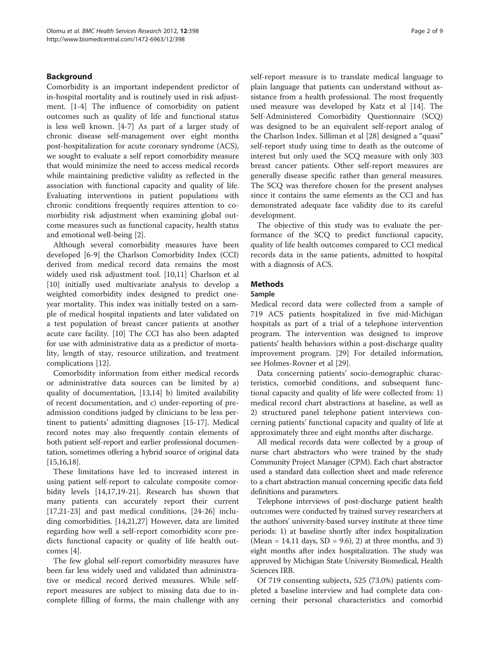## Background

Comorbidity is an important independent predictor of in-hospital mortality and is routinely used in risk adjustment. [\[1-4](#page-7-0)] The influence of comorbidity on patient outcomes such as quality of life and functional status is less well known. [[4-7\]](#page-7-0) As part of a larger study of chronic disease self-management over eight months post-hospitalization for acute coronary syndrome (ACS), we sought to evaluate a self report comorbidity measure that would minimize the need to access medical records while maintaining predictive validity as reflected in the association with functional capacity and quality of life. Evaluating interventions in patient populations with chronic conditions frequently requires attention to comorbidity risk adjustment when examining global outcome measures such as functional capacity, health status and emotional well-being [[2\]](#page-7-0).

Although several comorbidity measures have been developed [\[6](#page-7-0)-[9\]](#page-7-0) the Charlson Comorbidity Index (CCI) derived from medical record data remains the most widely used risk adjustment tool. [[10,11](#page-7-0)] Charlson et al [[10\]](#page-7-0) initially used multivariate analysis to develop a weighted comorbidity index designed to predict oneyear mortality. This index was initially tested on a sample of medical hospital inpatients and later validated on a test population of breast cancer patients at another acute care facility. [[10\]](#page-7-0) The CCI has also been adapted for use with administrative data as a predictor of mortality, length of stay, resource utilization, and treatment complications [[12](#page-7-0)].

Comorbidity information from either medical records or administrative data sources can be limited by a) quality of documentation, [[13](#page-7-0),[14](#page-7-0)] b) limited availability of recent documentation, and c) under-reporting of preadmission conditions judged by clinicians to be less pertinent to patients' admitting diagnoses [[15-17\]](#page-7-0). Medical record notes may also frequently contain elements of both patient self-report and earlier professional documentation, sometimes offering a hybrid source of original data [[15,16,18\]](#page-7-0).

These limitations have led to increased interest in using patient self-report to calculate composite comorbidity levels [[14](#page-7-0),[17](#page-7-0),[19](#page-7-0)-[21\]](#page-7-0). Research has shown that many patients can accurately report their current [[17,21-23\]](#page-7-0) and past medical conditions, [\[24](#page-7-0)-[26](#page-7-0)] including comorbidities. [[14,21,27\]](#page-7-0) However, data are limited regarding how well a self-report comorbidity score predicts functional capacity or quality of life health outcomes [[4\]](#page-7-0).

The few global self-report comorbidity measures have been far less widely used and validated than administrative or medical record derived measures. While selfreport measures are subject to missing data due to incomplete filling of forms, the main challenge with any self-report measure is to translate medical language to plain language that patients can understand without assistance from a health professional. The most frequently used measure was developed by Katz et al [[14\]](#page-7-0). The Self-Administered Comorbidity Questionnaire (SCQ) was designed to be an equivalent self-report analog of the Charlson Index. Silliman et al [\[28\]](#page-7-0) designed a "quasi" self-report study using time to death as the outcome of interest but only used the SCQ measure with only 303 breast cancer patients. Other self-report measures are generally disease specific rather than general measures. The SCQ was therefore chosen for the present analyses since it contains the same elements as the CCI and has demonstrated adequate face validity due to its careful development.

The objective of this study was to evaluate the performance of the SCQ to predict functional capacity, quality of life health outcomes compared to CCI medical records data in the same patients, admitted to hospital with a diagnosis of ACS.

## Methods

## Sample

Medical record data were collected from a sample of 719 ACS patients hospitalized in five mid-Michigan hospitals as part of a trial of a telephone intervention program. The intervention was designed to improve patients' health behaviors within a post-discharge quality improvement program. [[29](#page-7-0)] For detailed information, see Holmes-Rovner et al [\[29\]](#page-7-0).

Data concerning patients' socio-demographic characteristics, comorbid conditions, and subsequent functional capacity and quality of life were collected from: 1) medical record chart abstractions at baseline, as well as 2) structured panel telephone patient interviews concerning patients' functional capacity and quality of life at approximately three and eight months after discharge.

All medical records data were collected by a group of nurse chart abstractors who were trained by the study Community Project Manager (CPM). Each chart abstractor used a standard data collection sheet and made reference to a chart abstraction manual concerning specific data field definitions and parameters.

Telephone interviews of post-discharge patient health outcomes were conducted by trained survey researchers at the authors' university-based survey institute at three time periods: 1) at baseline shortly after index hospitalization (Mean = 14.11 days,  $SD = 9.6$ ), 2) at three months, and 3) eight months after index hospitalization. The study was approved by Michigan State University Biomedical, Health Sciences IRB.

Of 719 consenting subjects, 525 (73.0%) patients completed a baseline interview and had complete data concerning their personal characteristics and comorbid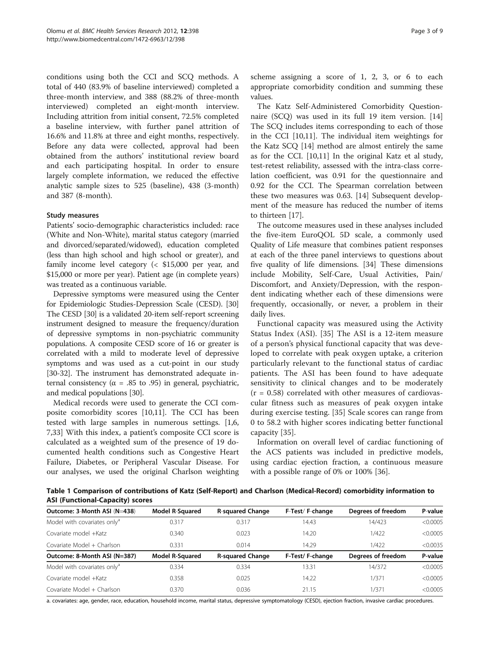<span id="page-2-0"></span>conditions using both the CCI and SCQ methods. A total of 440 (83.9% of baseline interviewed) completed a three-month interview, and 388 (88.2% of three-month interviewed) completed an eight-month interview. Including attrition from initial consent, 72.5% completed a baseline interview, with further panel attrition of 16.6% and 11.8% at three and eight months, respectively. Before any data were collected, approval had been obtained from the authors' institutional review board and each participating hospital. In order to ensure largely complete information, we reduced the effective analytic sample sizes to 525 (baseline), 438 (3-month) and 387 (8-month).

#### Study measures

Patients' socio-demographic characteristics included: race (White and Non-White), marital status category (married and divorced/separated/widowed), education completed (less than high school and high school or greater), and family income level category (< \$15,000 per year, and \$15,000 or more per year). Patient age (in complete years) was treated as a continuous variable.

Depressive symptoms were measured using the Center for Epidemiologic Studies-Depression Scale (CESD). [[30](#page-7-0)] The CESD [\[30\]](#page-7-0) is a validated 20-item self-report screening instrument designed to measure the frequency/duration of depressive symptoms in non-psychiatric community populations. A composite CESD score of 16 or greater is correlated with a mild to moderate level of depressive symptoms and was used as a cut-point in our study [[30](#page-7-0)-[32](#page-7-0)]. The instrument has demonstrated adequate internal consistency ( $\alpha = .85$  to .95) in general, psychiatric, and medical populations [\[30\]](#page-7-0).

Medical records were used to generate the CCI composite comorbidity scores [[10,11](#page-7-0)]. The CCI has been tested with large samples in numerous settings. [\[1,6](#page-7-0), [7,33\]](#page-7-0) With this index, a patient's composite CCI score is calculated as a weighted sum of the presence of 19 documented health conditions such as Congestive Heart Failure, Diabetes, or Peripheral Vascular Disease. For our analyses, we used the original Charlson weighting

scheme assigning a score of 1, 2, 3, or 6 to each appropriate comorbidity condition and summing these values.

The Katz Self-Administered Comorbidity Questionnaire (SCQ) was used in its full 19 item version. [[14](#page-7-0)] The SCQ includes items corresponding to each of those in the CCI [[10,11\]](#page-7-0). The individual item weightings for the Katz SCQ [\[14\]](#page-7-0) method are almost entirely the same as for the CCI. [[10,11](#page-7-0)] In the original Katz et al study, test-retest reliability, assessed with the intra-class correlation coefficient, was 0.91 for the questionnaire and 0.92 for the CCI. The Spearman correlation between these two measures was 0.63. [[14](#page-7-0)] Subsequent development of the measure has reduced the number of items to thirteen [\[17\]](#page-7-0).

The outcome measures used in these analyses included the five-item EuroQOL 5D scale, a commonly used Quality of Life measure that combines patient responses at each of the three panel interviews to questions about five quality of life dimensions. [[34](#page-7-0)] These dimensions include Mobility, Self-Care, Usual Activities, Pain/ Discomfort, and Anxiety/Depression, with the respondent indicating whether each of these dimensions were frequently, occasionally, or never, a problem in their daily lives.

Functional capacity was measured using the Activity Status Index (ASI). [[35\]](#page-7-0) The ASI is a 12-item measure of a person's physical functional capacity that was developed to correlate with peak oxygen uptake, a criterion particularly relevant to the functional status of cardiac patients. The ASI has been found to have adequate sensitivity to clinical changes and to be moderately  $(r = 0.58)$  correlated with other measures of cardiovascular fitness such as measures of peak oxygen intake during exercise testing. [[35\]](#page-7-0) Scale scores can range from 0 to 58.2 with higher scores indicating better functional capacity [\[35](#page-7-0)].

Information on overall level of cardiac functioning of the ACS patients was included in predictive models, using cardiac ejection fraction, a continuous measure with a possible range of 0% or 100% [[36\]](#page-7-0).

Table 1 Comparison of contributions of Katz (Self-Report) and Charlson (Medical-Record) comorbidity information to ASI (Functional-Capacity) scores

| Outcome: 3-Month ASI (N=438)            | <b>Model R-Squared</b> | <b>R-squared Change</b> | F-Test/F-change  | Degrees of freedom | P-value  |
|-----------------------------------------|------------------------|-------------------------|------------------|--------------------|----------|
| Model with covariates only <sup>a</sup> | 0.317                  | 0.317                   | 14.43            | 14/423             | < 0.0005 |
| Covariate model +Katz                   | 0.340                  | 0.023                   | 14.20            | 1/422              | < 0.0005 |
| Covariate Model + Charlson              | 0.331                  | 0.014                   | 14.29            | 1/422              | < 0.0035 |
| Outcome: 8-Month ASI (N=387)            | <b>Model R-Squared</b> | <b>R-squared Change</b> | F-Test/ F-change | Degrees of freedom | P-value  |
| Model with covariates only <sup>a</sup> | 0.334                  | 0.334                   | 13.31            | 14/372             | < 0.0005 |
| Covariate model +Katz                   | 0.358                  | 0.025                   | 14.22            | 1/371              | < 0.0005 |
| Covariate Model + Charlson              | 0.370                  | 0.036                   | 21.15            | 1/371              | < 0.0005 |

a. covariates: age, gender, race, education, household income, marital status, depressive symptomatology (CESD), ejection fraction, invasive cardiac procedures.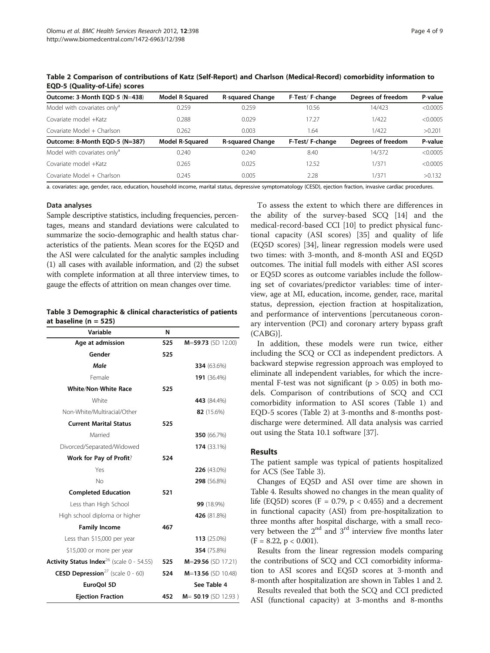| Outcome: 3-Month EQD-5 (N=438)          | Model R-Squared | <b>R-squared Change</b> | F-Test/F-change  | Degrees of freedom | P-value  |
|-----------------------------------------|-----------------|-------------------------|------------------|--------------------|----------|
| Model with covariates only <sup>a</sup> | 0.259           | 0.259                   | 10.56            | 14/423             | < 0.0005 |
| Covariate model +Katz                   | 0.288           | 0.029                   | 17.27            | 1/422              | < 0.0005 |
| Covariate Model + Charlson              | 0.262           | 0.003                   | 1.64             | 1/422              | >0.201   |
| Outcome: 8-Month EQD-5 (N=387)          | Model R-Squared | <b>R-squared Change</b> | F-Test/ F-change | Degrees of freedom | P-value  |
| Model with covariates only <sup>a</sup> | 0.240           | 0.240                   | 8.40             | 14/372             | < 0.0005 |
| Covariate model +Katz                   | 0.265           | 0.025                   | 12.52            | 1/371              | < 0.0005 |
| Covariate Model + Charlson              | 0.245           | 0.005                   | 2.28             | 1/371              | >0.132   |

<span id="page-3-0"></span>Table 2 Comparison of contributions of Katz (Self-Report) and Charlson (Medical-Record) comorbidity information to EQD-5 (Quality-of-Life) scores

a. covariates: age, gender, race, education, household income, marital status, depressive symptomatology (CESD), ejection fraction, invasive cardiac procedures.

#### Data analyses

Sample descriptive statistics, including frequencies, percentages, means and standard deviations were calculated to summarize the socio-demographic and health status characteristics of the patients. Mean scores for the EQ5D and the ASI were calculated for the analytic samples including (1) all cases with available information, and (2) the subset with complete information at all three interview times, to gauge the effects of attrition on mean changes over time.

## Table 3 Demographic & clinical characteristics of patients at baseline ( $n = 525$ )

| Variable                                                        | N   |                        |
|-----------------------------------------------------------------|-----|------------------------|
| Age at admission                                                | 525 | $M = 59.73$ (SD 12.00) |
| Gender                                                          | 525 |                        |
| Male                                                            |     | <b>334</b> (63.6%)     |
| Female                                                          |     | 191 (36.4%)            |
| <b>White/Non-White Race</b>                                     | 525 |                        |
| White                                                           |     | 443 (84.4%)            |
| Non-White/Multiracial/Other                                     |     | 82 (15.6%)             |
| <b>Current Marital Status</b>                                   | 525 |                        |
| Married                                                         |     | 350 (66.7%)            |
| Divorced/Separated/Widowed                                      |     | 174 (33.1%)            |
| Work for Pay of Profit?                                         | 524 |                        |
| Yes                                                             |     | 226 (43.0%)            |
| No                                                              |     | 298 (56.8%)            |
| <b>Completed Education</b>                                      | 521 |                        |
| Less than High School                                           |     | 99 (18.9%)             |
| High school diploma or higher                                   |     | 426 (81.8%)            |
| <b>Family Income</b>                                            | 467 |                        |
| Less than \$15,000 per year                                     |     | 113 (25.0%)            |
| \$15,000 or more per year                                       |     | 354 (75.8%)            |
| <b>Activity Status Index</b> <sup>26</sup> (scale $0 - 54.55$ ) | 525 | $M = 29.56$ (SD 17.21) |
| <b>CESD Depression</b> <sup>27</sup> (scale $0 - 60$ )          | 524 | $M=13.56$ (SD 10.48)   |
| EuroOol 5D                                                      |     | See Table 4            |
| <b>Ejection Fraction</b>                                        | 452 | $M = 50.19$ (SD 12.93) |

To assess the extent to which there are differences in the ability of the survey-based SCQ [[14\]](#page-7-0) and the medical-record-based CCI [\[10\]](#page-7-0) to predict physical functional capacity (ASI scores) [[35\]](#page-7-0) and quality of life (EQ5D scores) [\[34](#page-7-0)], linear regression models were used two times: with 3-month, and 8-month ASI and EQ5D outcomes. The initial full models with either ASI scores or EQ5D scores as outcome variables include the following set of covariates/predictor variables: time of interview, age at MI, education, income, gender, race, marital status, depression, ejection fraction at hospitalization, and performance of interventions [percutaneous coronary intervention (PCI) and coronary artery bypass graft (CABG)].

In addition, these models were run twice, either including the SCQ or CCI as independent predictors. A backward stepwise regression approach was employed to eliminate all independent variables, for which the incremental F-test was not significant ( $p > 0.05$ ) in both models. Comparison of contributions of SCQ and CCI comorbidity information to ASI scores (Table [1\)](#page-2-0) and EQD-5 scores (Table 2) at 3-months and 8-months postdischarge were determined. All data analysis was carried out using the Stata 10.1 software [\[37\]](#page-7-0).

## Results

The patient sample was typical of patients hospitalized for ACS (See Table 3).

Changes of EQ5D and ASI over time are shown in Table [4.](#page-4-0) Results showed no changes in the mean quality of life (EQ5D) scores (F = 0.79,  $p < 0.455$ ) and a decrement in functional capacity (ASI) from pre-hospitalization to three months after hospital discharge, with a small recovery between the 2<sup>nd</sup> and 3<sup>rd</sup> interview five months later  $(F = 8.22, p < 0.001).$ 

Results from the linear regression models comparing the contributions of SCQ and CCI comorbidity information to ASI scores and EQ5D scores at 3-month and 8-month after hospitalization are shown in Tables [1](#page-2-0) and 2.

Results revealed that both the SCQ and CCI predicted ASI (functional capacity) at 3-months and 8-months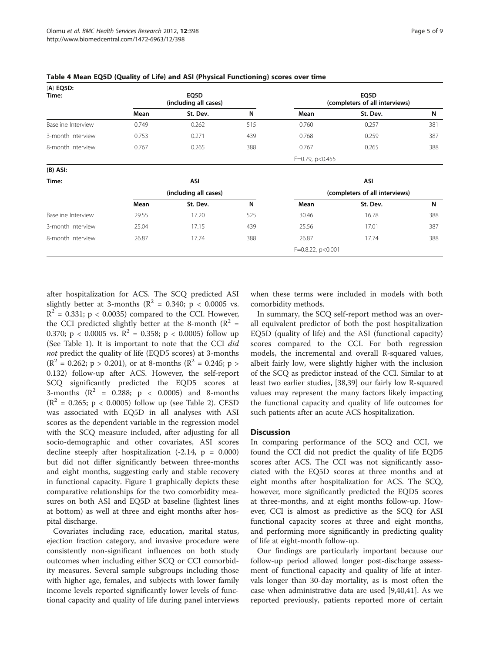| $(A)$ EQ5D:<br>Time: | EO5D<br>(including all cases) |          |     | EO5D<br>(completers of all interviews) |          |     |
|----------------------|-------------------------------|----------|-----|----------------------------------------|----------|-----|
|                      | Mean                          | St. Dev. | N   | Mean                                   | St. Dev. | N   |
| Baseline Interview   | 0.749                         | 0.262    | 515 | 0.760                                  | 0.257    | 381 |
| 3-month Interview    | 0.753                         | 0.271    | 439 | 0.768                                  | 0.259    | 387 |
| 8-month Interview    | 0.767                         | 0.265    | 388 | 0.767                                  | 0.265    | 388 |
|                      |                               |          |     | $F=0.79$ , $p<0.455$                   |          |     |

## <span id="page-4-0"></span>Table 4 Mean EQ5D (Quality of Life) and ASI (Physical Functioning) scores over time

| $(B)$ ASI:         |                       |                        |     |                                |            |     |
|--------------------|-----------------------|------------------------|-----|--------------------------------|------------|-----|
| Time:              |                       | ASI                    |     |                                | <b>ASI</b> |     |
|                    | (including all cases) |                        |     | (completers of all interviews) |            |     |
|                    | Mean                  | St. Dev.               | N   | Mean                           | St. Dev.   | N   |
| Baseline Interview | 29.55                 | 17.20                  | 525 | 30.46                          | 16.78      | 388 |
| 3-month Interview  | 25.04                 | 17.15                  | 439 | 25.56                          | 17.01      | 387 |
| 8-month Interview  | 26.87                 | 17.74                  | 388 | 26.87                          | 17.74      | 388 |
|                    |                       | $F=0.8.22$ , $p<0.001$ |     |                                |            |     |

after hospitalization for ACS. The SCQ predicted ASI slightly better at 3-months ( $\mathbb{R}^2$  = 0.340; p < 0.0005 vs.  $R^2$  = 0.331; p < 0.0035) compared to the CCI. However, the CCI predicted slightly better at the 8-month ( $\mathbb{R}^2$  = 0.370; p < 0.0005 vs.  $R^2 = 0.358$ ; p < 0.0005) follow up (See Table [1\)](#page-2-0). It is important to note that the CCI did not predict the quality of life (EQD5 scores) at 3-months  $(R^{2} = 0.262$ ; p > 0.201), or at 8-months  $(R^{2} = 0.245;$  p > 0.132) follow-up after ACS. However, the self-report SCQ significantly predicted the EQD5 scores at 3-months  $(R^2 = 0.288; p < 0.0005)$  and 8-months  $(R^{2} = 0.265; p < 0.0005)$  follow up (see Table [2\)](#page-3-0). CESD was associated with EQ5D in all analyses with ASI scores as the dependent variable in the regression model with the SCQ measure included, after adjusting for all socio-demographic and other covariates, ASI scores decline steeply after hospitalization  $(-2.14, p = 0.000)$ but did not differ significantly between three-months and eight months, suggesting early and stable recovery in functional capacity. Figure [1](#page-5-0) graphically depicts these comparative relationships for the two comorbidity measures on both ASI and EQ5D at baseline (lightest lines at bottom) as well at three and eight months after hospital discharge.

Covariates including race, education, marital status, ejection fraction category, and invasive procedure were consistently non-significant influences on both study outcomes when including either SCQ or CCI comorbidity measures. Several sample subgroups including those with higher age, females, and subjects with lower family income levels reported significantly lower levels of functional capacity and quality of life during panel interviews when these terms were included in models with both comorbidity methods.

In summary, the SCQ self-report method was an overall equivalent predictor of both the post hospitalization EQ5D (quality of life) and the ASI (functional capacity) scores compared to the CCI. For both regression models, the incremental and overall R-squared values, albeit fairly low, were slightly higher with the inclusion of the SCQ as predictor instead of the CCI. Similar to at least two earlier studies, [\[38,39](#page-7-0)] our fairly low R-squared values may represent the many factors likely impacting the functional capacity and quality of life outcomes for such patients after an acute ACS hospitalization.

## Discussion

In comparing performance of the SCQ and CCI, we found the CCI did not predict the quality of life EQD5 scores after ACS. The CCI was not significantly associated with the EQ5D scores at three months and at eight months after hospitalization for ACS. The SCQ, however, more significantly predicted the EQD5 scores at three-months, and at eight months follow-up. However, CCI is almost as predictive as the SCQ for ASI functional capacity scores at three and eight months, and performing more significantly in predicting quality of life at eight-month follow-up.

Our findings are particularly important because our follow-up period allowed longer post-discharge assessment of functional capacity and quality of life at intervals longer than 30-day mortality, as is most often the case when administrative data are used [\[9,40,41\]](#page-7-0). As we reported previously, patients reported more of certain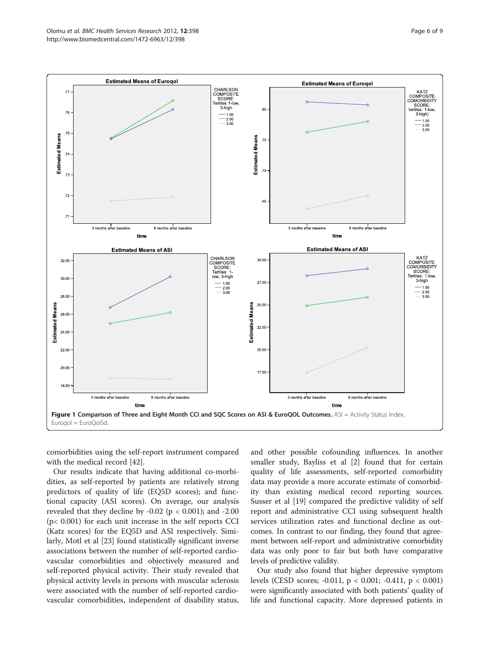<span id="page-5-0"></span>

comorbidities using the self-report instrument compared with the medical record [[42\]](#page-8-0).

Our results indicate that having additional co-morbidities, as self-reported by patients are relatively strong predictors of quality of life (EQ5D scores); and functional capacity (ASI scores). On average, our analysis revealed that they decline by  $-0.02$  ( $p < 0.001$ ); and  $-2.00$ (p< 0.001) for each unit increase in the self reports CCI (Katz scores) for the EQ5D and ASI respectively. Similarly, Motl et al [\[23\]](#page-7-0) found statistically significant inverse associations between the number of self-reported cardiovascular comorbidities and objectively measured and self-reported physical activity. Their study revealed that physical activity levels in persons with muscular sclerosis were associated with the number of self-reported cardiovascular comorbidities, independent of disability status,

and other possible cofounding influences. In another smaller study, Bayliss et al [[2\]](#page-7-0) found that for certain quality of life assessments, self-reported comorbidity data may provide a more accurate estimate of comorbidity than existing medical record reporting sources. Susser et al [\[19](#page-7-0)] compared the predictive validity of self report and administrative CCI using subsequent health services utilization rates and functional decline as outcomes. In contrast to our finding, they found that agreement between self-report and administrative comorbidity data was only poor to fair but both have comparative levels of predictive validity.

Our study also found that higher depressive symptom levels (CESD scores; -0.011, p < 0.001; -0.411, p < 0.001) were significantly associated with both patients' quality of life and functional capacity. More depressed patients in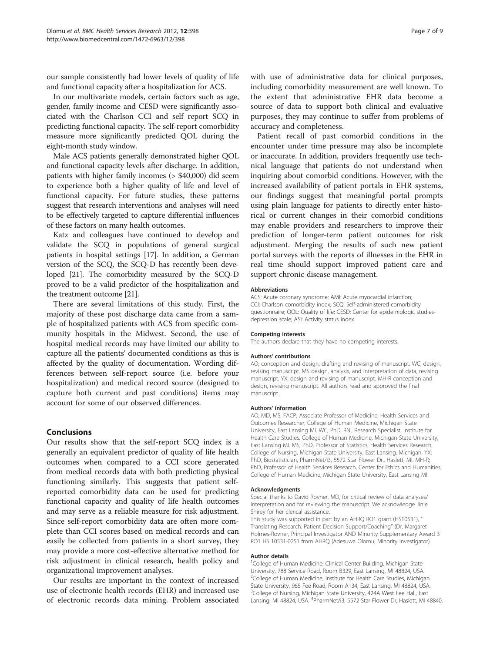our sample consistently had lower levels of quality of life and functional capacity after a hospitalization for ACS.

In our multivariate models, certain factors such as age, gender, family income and CESD were significantly associated with the Charlson CCI and self report SCQ in predicting functional capacity. The self-report comorbidity measure more significantly predicted QOL during the eight-month study window.

Male ACS patients generally demonstrated higher QOL and functional capacity levels after discharge. In addition, patients with higher family incomes (> \$40,000) did seem to experience both a higher quality of life and level of functional capacity. For future studies, these patterns suggest that research interventions and analyses will need to be effectively targeted to capture differential influences of these factors on many health outcomes.

Katz and colleagues have continued to develop and validate the SCQ in populations of general surgical patients in hospital settings [[17](#page-7-0)]. In addition, a German version of the SCQ, the SCQ-D has recently been developed [\[21](#page-7-0)]. The comorbidity measured by the SCQ-D proved to be a valid predictor of the hospitalization and the treatment outcome [\[21](#page-7-0)].

There are several limitations of this study. First, the majority of these post discharge data came from a sample of hospitalized patients with ACS from specific community hospitals in the Midwest. Second, the use of hospital medical records may have limited our ability to capture all the patients' documented conditions as this is affected by the quality of documentation. Wording differences between self-report source (i.e. before your hospitalization) and medical record source (designed to capture both current and past conditions) items may account for some of our observed differences.

## Conclusions

Our results show that the self-report SCQ index is a generally an equivalent predictor of quality of life health outcomes when compared to a CCI score generated from medical records data with both predicting physical functioning similarly. This suggests that patient selfreported comorbidity data can be used for predicting functional capacity and quality of life health outcomes and may serve as a reliable measure for risk adjustment. Since self-report comorbidity data are often more complete than CCI scores based on medical records and can easily be collected from patients in a short survey, they may provide a more cost-effective alternative method for risk adjustment in clinical research, health policy and organizational improvement analyses.

Our results are important in the context of increased use of electronic health records (EHR) and increased use of electronic records data mining. Problem associated

with use of administrative data for clinical purposes, including comorbidity measurement are well known. To the extent that administrative EHR data become a source of data to support both clinical and evaluative purposes, they may continue to suffer from problems of accuracy and completeness.

Patient recall of past comorbid conditions in the encounter under time pressure may also be incomplete or inaccurate. In addition, providers frequently use technical language that patients do not understand when inquiring about comorbid conditions. However, with the increased availability of patient portals in EHR systems, our findings suggest that meaningful portal prompts using plain language for patients to directly enter historical or current changes in their comorbid conditions may enable providers and researchers to improve their prediction of longer-term patient outcomes for risk adjustment. Merging the results of such new patient portal surveys with the reports of illnesses in the EHR in real time should support improved patient care and support chronic disease management.

#### Abbreviations

ACS: Acute coronary syndrome; AMI: Acute myocardial infarction; CCI: Charlson comorbidity index; SCQ: Self-administered comorbidity questionnaire; QOL: Quality of life; CESD: Center for epidemiologic studiesdepression scale; ASI: Activity status index.

#### Competing interests

The authors declare that they have no competing interests.

#### Authors' contributions

AO; conception and design, drafting and revising of manuscript. WC; design, revising manuscript. MS design, analysis, and interpretation of data, revising manuscript. YX; design and revising of manuscript. MH-R conception and design, revising manuscript. All authors read and approved the final manuscript.

#### Authors' information

AO; MD, MS, FACP; Associate Professor of Medicine, Health Services and Outcomes Researcher, College of Human Medicine, Michigan State University, East Lansing MI. WC; PhD, RN,, Research Specialist, Institute for Health Care Studies, College of Human Medicine, Michigan State University, East Lansing MI. MS; PhD, Professor of Statistics, Health Services Research, College of Nursing, Michigan State University, East Lansing, Michigan. YX; PhD, Biostatistician, PharmNet/i3, 5572 Star Flower Dr., Haslett, MI. MH-R; PhD, Professor of Health Services Research, Center for Ethics and Humanities, College of Human Medicine, Michigan State University, East Lansing MI

#### Acknowledgments

Special thanks to David Rovner, MD, for critical review of data analyses/ interpretation and for reviewing the manuscript. We acknowledge Jinie Shirey for her clerical assistance.

This study was supported in part by an AHRQ RO1 grant (HS10531), " Translating Research: Patient Decision Support/Coaching" (Dr. Margaret Holmes-Rovner, Principal Investigator AND Minority Supplementary Award 3 RO1 HS 10531-0251 from AHRQ (Adesuwa Olomu, Minority Investigator).

#### Author details

<sup>1</sup>College of Human Medicine, Clinical Center Building, Michigan State University, 788 Service Road, Room B329, East Lansing, MI 48824, USA. <sup>2</sup>College of Human Medicine, Institute for Health Care Studies, Michigan State University, 965 Fee Road, Room A134, East Lansing, MI 48824, USA. <sup>3</sup>College of Nursing, Michigan State University, 424A West Fee Hall, East Lansing, MI 48824, USA. <sup>4</sup>PharmNet/i3, 5572 Star Flower Dr, Haslett, MI 48840,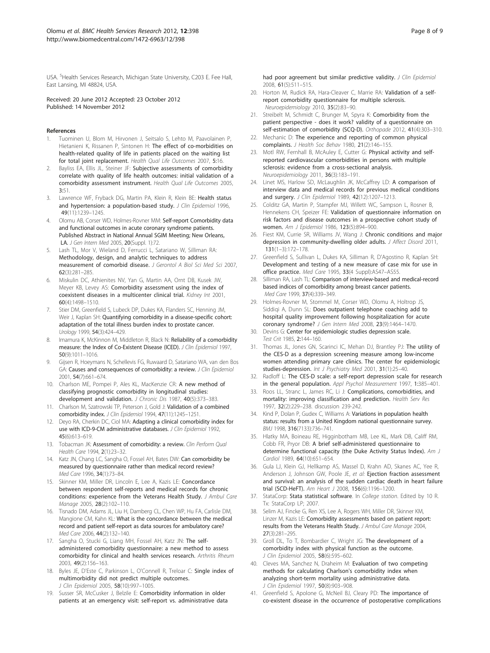<span id="page-7-0"></span>USA. <sup>5</sup>Health Services Research, Michigan State University, C203 E. Fee Hall, East Lansing, MI 48824, USA.

Received: 20 June 2012 Accepted: 23 October 2012 Published: 14 November 2012

#### References

- Tuominen U, Blom M, Hirvonen J, Seitsalo S, Lehto M, Paavolainen P, Hietanieni K, Rissanen P, Sintonen H: The effect of co-morbidities on health-related quality of life in patients placed on the waiting list for total joint replacement. Health Qual Life Outcomes 2007, 5:16.
- 2. Bayliss EA, Ellis JL, Steiner JF: Subjective assessments of comorbidity correlate with quality of life health outcomes: initial validation of a comorbidity assessment instrument. Health Qual Life Outcomes 2005, 3:51.
- 3. Lawrence WF, Fryback DG, Martin PA, Klein R, Klein BE: Health status and hypertension: a population-based study. J Clin Epidemiol 1996, 49(11):1239–1245.
- 4. Olomu AB, Corser WD, Holmes-Rovner MM: Self-report Comorbidity data and functional outcomes in acute coronary syndrome patients. Published Abstract in National Annual SGIM Meeting; New Orleans, LA. J Gen Intern Med 2005, 20(Suppl. 1):72.
- Lash TL, Mor V, Wieland D, Ferrucci L, Satariano W, Silliman RA: Methodology, design, and analytic techniques to address measurement of comorbid disease. J Gerontol A Biol Sci Med Sci 2007, 62(3):281–285.
- 6. Miskulin DC, Athienites NV, Yan G, Martin AA, Ornt DB, Kusek JW, Meyer KB, Levey AS: Comorbidity assessment using the index of coexistent diseases in a multicenter clinical trial. Kidney Int 2001, 60(4):1498–1510.
- 7. Stier DM, Greenfield S, Lubeck DP, Dukes KA, Flanders SC, Henning JM, Weir J, Kaplan SH: Quantifying comorbidity in a disease-specific cohort: adaptation of the total illness burden index to prostate cancer. Urology 1999, 54(3):424–429.
- 8. Imamura K, McKinnon M, Middleton R, Black N: Reliability of a comorbidity measure: the Index of Co-Existent Disease (ICED). J Clin Epidemiol 1997, 50(9):1011–1016.
- Gijsen R, Hoeymans N, Schellevis FG, Ruwaard D, Satariano WA, van den Bos GA: Causes and consequences of comorbidity: a review. J Clin Epidemiol 2001, 54(7):661–674.
- 10. Charlson ME, Pompei P, Ales KL, MacKenzie CR: A new method of classifying prognostic comorbidity in longitudinal studies: development and validation. J Chronic Dis 1987, 40(5):373-383.
- 11. Charlson M, Szatrowski TP, Peterson J, Gold J: Validation of a combined comorbidity index. J Clin Epidemiol 1994, 47(11):1245–1251.
- 12. Deyo RA, Cherkin DC, Ciol MA: Adapting a clinical comorbidity index for use with ICD-9-CM administrative databases. J Clin Epidemiol 1992, 45(6):613–619.
- 13. Tobacman JK: Assessment of comorbidity: a review. Clin Perform Oual Health Care 1994, 2(1):23–32.
- 14. Katz JN, Chang LC, Sangha O, Fossel AH, Bates DW: Can comorbidity be measured by questionnaire rather than medical record review? Med Care 1996, 34(1):73–84.
- 15. Skinner KM, Miller DR, Lincoln E, Lee A, Kazis LE: Concordance between respondent self-reports and medical records for chronic conditions: experience from the Veterans Health Study. J Ambul Care Manage 2005, 28(2):102–110.
- 16. Tisnado DM, Adams JL, Liu H, Damberg CL, Chen WP, Hu FA, Carlisle DM, Mangione CM, Kahn KL: What is the concordance between the medical record and patient self-report as data sources for ambulatory care? Med Care 2006, 44(2):132–140.
- 17. Sangha O, Stucki G, Liang MH, Fossel AH, Katz JN: The selfadministered comorbidity questionnaire: a new method to assess comorbidity for clinical and health services research. Arthritis Rheum 2003, 49(2):156–163.
- 18. Byles JE, D'Este C, Parkinson L, O'Connell R, Treloar C: Single index of multimorbidity did not predict multiple outcomes. J Clin Epidemiol 2005, 58(10):997–1005.
- 19. Susser SR, McCusker J, Belzile E: Comorbidity information in older patients at an emergency visit: self-report vs. administrative data

had poor agreement but similar predictive validity. J Clin Epidemiol 2008, 61(5):511–515.

- 20. Horton M, Rudick RA, Hara-Cleaver C, Marrie RA: Validation of a selfreport comorbidity questionnaire for multiple sclerosis. Neuroepidemiology 2010, 35(2):83–90.
- 21. Streibelt M, Schmidt C, Brunger M, Spyra K: Comorbidity from the patient perspective - does it work? validity of a questionnaire on self-estimation of comorbidity (SCQ-D). Orthopade 2012, 41(4):303-310.
- 22. Mechanic D: The experience and reporting of common physical complaints. J Health Soc Behav 1980, 21(2):146-155.
- 23. Motl RW, Fernhall B, McAuley E, Cutter G: Physical activity and selfreported cardiovascular comorbidities in persons with multiple sclerosis: evidence from a cross-sectional analysis. Neuroepidemiology 2011, 36(3):183–191.
- 24. Linet MS, Harlow SD, McLaughlin JK, McCaffrey LD: A comparison of interview data and medical records for previous medical conditions and surgery. J Clin Epidemiol 1989, 42(12):1207-1213.
- 25. Colditz GA, Martin P, Stampfer MJ, Willett WC, Sampson L, Rosner B, Hennekens CH, Speizer FE: Validation of questionnaire information on risk factors and disease outcomes in a prospective cohort study of women. Am J Epidemiol 1986, 123(5):894–900.
- 26. Fiest KM, Currie SR, Williams JV, Wang J: Chronic conditions and major depression in community-dwelling older adults. J Affect Disord 2011, 131(1–3):172–178.
- 27. Greenfield S, Sullivan L, Dukes KA, Silliman R, D'Agostino R, Kaplan SH: Development and testing of a new measure of case mix for use in office practice. Med Care 1995, 33(4 Suppl):AS47–AS55.
- 28. Silliman RA, Lash TL: Comparison of interview-based and medical-record based indices of comorbidity among breast cancer patients. Med Care 1999, 37(4):339–349.
- 29. Holmes-Rovner M, Stommel M, Corser WD, Olomu A, Holtrop JS, Siddiqi A, Dunn SL: Does outpatient telephone coaching add to hospital quality improvement following hospitalization for acute coronary syndrome? J Gen Intern Med 2008, 23(9):1464–1470.
- 30. Devins G: Center for epidemiologic studies depression scale. Test Crit 1985, 2:144–160.
- 31. Thomas JL, Jones GN, Scarinci IC, Mehan DJ, Brantley PJ: The utility of the CES-D as a depression screening measure among low-income women attending primary care clinics. The center for epidemiologic studies-depression. Int J Psychiatry Med 2001, 31(1):25-40.
- 32. Radloff L: The CES-D scale: a self-report depression scale for research in the general population. Appl Psychol Measurement 1997, 1:385-401.
- 33. Roos LL, Stranc L, James RC, Li J: Complications, comorbidities, and mortality: improving classification and prediction. Health Serv Res 1997, 32(2):229–238. discussion 239-242.
- 34. Kind P, Dolan P, Gudex C, Williams A: Variations in population health status: results from a United Kingdom national questionnaire survey. BMJ 1998, 316(7133):736–741.
- 35. Hlatky MA, Boineau RE, Higginbotham MB, Lee KL, Mark DB, Califf RM, Cobb FR, Pryor DB: A brief self-administered questionnaire to determine functional capacity (the Duke Activity Status Index). Am J Cardiol 1989, 64(10):651–654.
- 36. Gula LJ, Klein GJ, Hellkamp AS, Massel D, Krahn AD, Skanes AC, Yee R, Anderson J, Johnson GW, Poole JE, et al: Ejection fraction assessment and survival: an analysis of the sudden cardiac death in heart failure trial (SCD-HeFT). Am Heart J 2008, 156(6):1196–1200.
- 37. StataCorp: Stata statistical software. In College station. Edited by 10 R. Tx: StataCorp LP; 2007.
- 38. Selim AJ, Fincke G, Ren XS, Lee A, Rogers WH, Miller DR, Skinner KM, Linzer M, Kazis LE: Comorbidity assessments based on patient report: results from the Veterans Health Study. J Ambul Care Manage 2004, 27(3):281–295.
- 39. Groll DL, To T, Bombardier C, Wright JG: The development of a comorbidity index with physical function as the outcome. J Clin Epidemiol 2005, 58(6):595-602.
- 40. Cleves MA, Sanchez N, Draheim M: Evaluation of two competing methods for calculating Charlson's comorbidity index when analyzing short-term mortality using administrative data. J Clin Epidemiol 1997, 50(8):903–908.
- 41. Greenfield S, Apolone G, McNeil BJ, Cleary PD: The importance of co-existent disease in the occurrence of postoperative complications